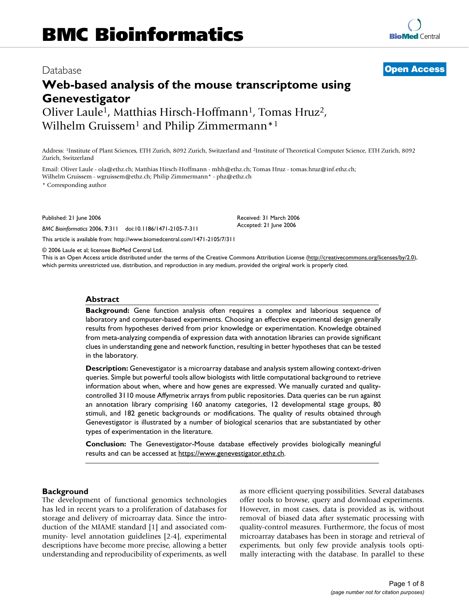# Database **[Open Access](http://www.biomedcentral.com/info/about/charter/)**

# **Web-based analysis of the mouse transcriptome using Genevestigator**

Oliver Laule<sup>1</sup>, Matthias Hirsch-Hoffmann<sup>1</sup>, Tomas Hruz<sup>2</sup>, Wilhelm Gruissem<sup>1</sup> and Philip Zimmermann<sup>\*1</sup>

**[BioMed](http://www.biomedcentral.com/)** Central

Address: 1Institute of Plant Sciences, ETH Zurich, 8092 Zurich, Switzerland and 2Institute of Theoretical Computer Science, ETH Zurich, 8092 Zurich, Switzerland

Email: Oliver Laule - ola@ethz.ch; Matthias Hirsch-Hoffmann - mhh@ethz.ch; Tomas Hruz - tomas.hruz@inf.ethz.ch;

Wilhelm Gruissem - wgruissem@ethz.ch; Philip Zimmermann\* - phz@ethz.ch

\* Corresponding author

Published: 21 June 2006

*BMC Bioinformatics* 2006, **7**:311 doi:10.1186/1471-2105-7-311

[This article is available from: http://www.biomedcentral.com/1471-2105/7/311](http://www.biomedcentral.com/1471-2105/7/311)

© 2006 Laule et al; licensee BioMed Central Ltd.

This is an Open Access article distributed under the terms of the Creative Commons Attribution License [\(http://creativecommons.org/licenses/by/2.0\)](http://creativecommons.org/licenses/by/2.0), which permits unrestricted use, distribution, and reproduction in any medium, provided the original work is properly cited.

Received: 31 March 2006 Accepted: 21 June 2006

#### **Abstract**

**Background:** Gene function analysis often requires a complex and laborious sequence of laboratory and computer-based experiments. Choosing an effective experimental design generally results from hypotheses derived from prior knowledge or experimentation. Knowledge obtained from meta-analyzing compendia of expression data with annotation libraries can provide significant clues in understanding gene and network function, resulting in better hypotheses that can be tested in the laboratory.

**Description:** Genevestigator is a microarray database and analysis system allowing context-driven queries. Simple but powerful tools allow biologists with little computational background to retrieve information about when, where and how genes are expressed. We manually curated and qualitycontrolled 3110 mouse Affymetrix arrays from public repositories. Data queries can be run against an annotation library comprising 160 anatomy categories, 12 developmental stage groups, 80 stimuli, and 182 genetic backgrounds or modifications. The quality of results obtained through Genevestigator is illustrated by a number of biological scenarios that are substantiated by other types of experimentation in the literature.

**Conclusion:** The Genevestigator-Mouse database effectively provides biologically meaningful results and can be accessed at<https://www.genevestigator.ethz.ch>.

#### **Background**

The development of functional genomics technologies has led in recent years to a proliferation of databases for storage and delivery of microarray data. Since the introduction of the MIAME standard [1] and associated community- level annotation guidelines [2-4], experimental descriptions have become more precise, allowing a better understanding and reproducibility of experiments, as well as more efficient querying possibilities. Several databases offer tools to browse, query and download experiments. However, in most cases, data is provided as is, without removal of biased data after systematic processing with quality-control measures. Furthermore, the focus of most microarray databases has been in storage and retrieval of experiments, but only few provide analysis tools optimally interacting with the database. In parallel to these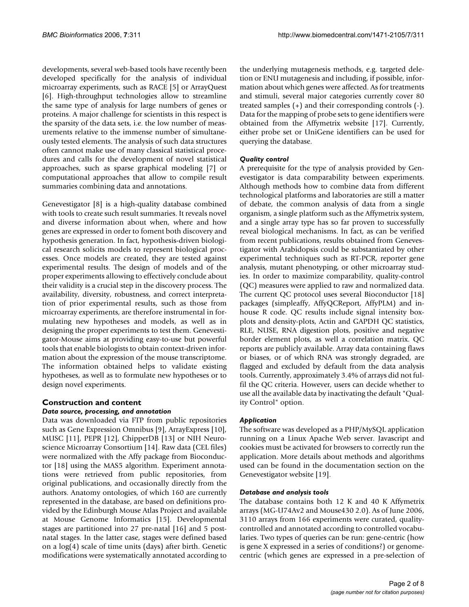developments, several web-based tools have recently been developed specifically for the analysis of individual microarray experiments, such as RACE [5] or ArrayQuest [6]. High-throughput technologies allow to streamline the same type of analysis for large numbers of genes or proteins. A major challenge for scientists in this respect is the sparsity of the data sets, i.e. the low number of measurements relative to the immense number of simultaneously tested elements. The analysis of such data structures often cannot make use of many classical statistical procedures and calls for the development of novel statistical approaches, such as sparse graphical modeling [7] or computational approaches that allow to compile result summaries combining data and annotations.

Genevestigator [8] is a high-quality database combined with tools to create such result summaries. It reveals novel and diverse information about when, where and how genes are expressed in order to foment both discovery and hypothesis generation. In fact, hypothesis-driven biological research solicits models to represent biological processes. Once models are created, they are tested against experimental results. The design of models and of the proper experiments allowing to effectively conclude about their validity is a crucial step in the discovery process. The availability, diversity, robustness, and correct interpretation of prior experimental results, such as those from microarray experiments, are therefore instrumental in formulating new hypotheses and models, as well as in designing the proper experiments to test them. Genevestigator-Mouse aims at providing easy-to-use but powerful tools that enable biologists to obtain context-driven information about the expression of the mouse transcriptome. The information obtained helps to validate existing hypotheses, as well as to formulate new hypotheses or to design novel experiments.

#### **Construction and content** *Data source, processing, and annotation*

Data was downloaded via FTP from public repositories such as Gene Expression Omnibus [9], ArrayExpress [10], MUSC [11], PEPR [12], ChipperDB [13] or NIH Neuroscience Microarray Consortium [14]. Raw data (CEL files) were normalized with the Affy package from Bioconductor [18] using the MAS5 algorithm. Experiment annotations were retrieved from public repositories, from original publications, and occasionally directly from the authors. Anatomy ontologies, of which 160 are currently represented in the database, are based on definitions provided by the Edinburgh Mouse Atlas Project and available at Mouse Genome Informatics [15]. Developmental stages are partitioned into 27 pre-natal [16] and 5 postnatal stages. In the latter case, stages were defined based on a log(4) scale of time units (days) after birth. Genetic modifications were systematically annotated according to

the underlying mutagenesis methods, e.g. targeted deletion or ENU mutagenesis and including, if possible, information about which genes were affected. As for treatments and stimuli, several major categories currently cover 80 treated samples (+) and their corresponding controls (-). Data for the mapping of probe sets to gene identifiers were obtained from the Affymetrix website [17]. Currently, either probe set or UniGene identifiers can be used for querying the database.

# *Quality control*

A prerequisite for the type of analysis provided by Genevestigator is data comparability between experiments. Although methods how to combine data from different technological platforms and laboratories are still a matter of debate, the common analysis of data from a single organism, a single platform such as the Affymetrix system, and a single array type has so far proven to successfully reveal biological mechanisms. In fact, as can be verified from recent publications, results obtained from Genevestigator with Arabidopsis could be substantiated by other experimental techniques such as RT-PCR, reporter gene analysis, mutant phenotyping, or other microarray studies. In order to maximize comparability, quality-control (QC) measures were applied to raw and normalized data. The current QC protocol uses several Bioconductor [18] packages (simpleaffy, AffyQCReport, AffyPLM) and inhouse R code. QC results include signal intensity boxplots and density-plots, Actin and GAPDH QC statistics, RLE, NUSE, RNA digestion plots, positive and negative border element plots, as well a correlation matrix. QC reports are publicly available. Array data containing flaws or biases, or of which RNA was strongly degraded, are flagged and excluded by default from the data analysis tools. Currently, approximately 3.4% of arrays did not fulfil the QC criteria. However, users can decide whether to use all the available data by inactivating the default "Quality Control" option.

# *Application*

The software was developed as a PHP/MySQL application running on a Linux Apache Web server. Javascript and cookies must be activated for browsers to correctly run the application. More details about methods and algorithms used can be found in the documentation section on the Genevestigator website [19].

# *Database and analysis tools*

The database contains both 12 K and 40 K Affymetrix arrays (MG-U74Av2 and Mouse430 2.0). As of June 2006, 3110 arrays from 166 experiments were curated, qualitycontrolled and annotated according to controlled vocabularies. Two types of queries can be run: gene-centric (how is gene X expressed in a series of conditions?) or genomecentric (which genes are expressed in a pre-selection of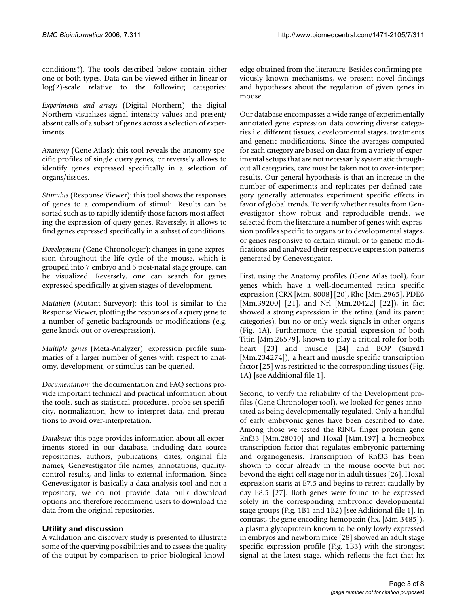conditions?). The tools described below contain either one or both types. Data can be viewed either in linear or log(2)-scale relative to the following categories:

*Experiments and arrays* (Digital Northern): the digital Northern visualizes signal intensity values and present/ absent calls of a subset of genes across a selection of experiments.

*Anatomy* (Gene Atlas): this tool reveals the anatomy-specific profiles of single query genes, or reversely allows to identify genes expressed specifically in a selection of organs/tissues.

*Stimulus* (Response Viewer): this tool shows the responses of genes to a compendium of stimuli. Results can be sorted such as to rapidly identify those factors most affecting the expression of query genes. Reversely, it allows to find genes expressed specifically in a subset of conditions.

*Development* (Gene Chronologer): changes in gene expression throughout the life cycle of the mouse, which is grouped into 7 embryo and 5 post-natal stage groups, can be visualized. Reversely, one can search for genes expressed specifically at given stages of development.

*Mutation* (Mutant Surveyor): this tool is similar to the Response Viewer, plotting the responses of a query gene to a number of genetic backgrounds or modifications (e.g. gene knock-out or overexpression).

*Multiple genes* (Meta-Analyzer): expression profile summaries of a larger number of genes with respect to anatomy, development, or stimulus can be queried.

*Documentation:* the documentation and FAQ sections provide important technical and practical information about the tools, such as statistical procedures, probe set specificity, normalization, how to interpret data, and precautions to avoid over-interpretation.

*Database:* this page provides information about all experiments stored in our database, including data source repositories, authors, publications, dates, original file names, Genevestigator file names, annotations, qualitycontrol results, and links to external information. Since Genevestigator is basically a data analysis tool and not a repository, we do not provide data bulk download options and therefore recommend users to download the data from the original repositories.

# **Utility and discussion**

A validation and discovery study is presented to illustrate some of the querying possibilities and to assess the quality of the output by comparison to prior biological knowledge obtained from the literature. Besides confirming previously known mechanisms, we present novel findings and hypotheses about the regulation of given genes in mouse.

Our database encompasses a wide range of experimentally annotated gene expression data covering diverse categories i.e. different tissues, developmental stages, treatments and genetic modifications. Since the averages computed for each category are based on data from a variety of experimental setups that are not necessarily systematic throughout all categories, care must be taken not to over-interpret results. Our general hypothesis is that an increase in the number of experiments and replicates per defined category generally attenuates experiment specific effects in favor of global trends. To verify whether results from Genevestigator show robust and reproducible trends, we selected from the literature a number of genes with expression profiles specific to organs or to developmental stages, or genes responsive to certain stimuli or to genetic modifications and analyzed their respective expression patterns generated by Genevestigator.

First, using the Anatomy profiles (Gene Atlas tool), four genes which have a well-documented retina specific expression (CRX [Mm. 8008] [20], Rho [Mm.2965], PDE6 [Mm.39200] [21], and Nrl [Mm.20422] [22]), in fact showed a strong expression in the retina (and its parent categories), but no or only weak signals in other organs (Fig. 1A). Furthermore, the spatial expression of both Titin [Mm.26579], known to play a critical role for both heart [23] and muscle [24] and BOP (Smyd1 [Mm.234274]), a heart and muscle specific transcription factor [25] was restricted to the corresponding tissues (Fig. 1A) [see Additional file 1].

Second, to verify the reliability of the Development profiles (Gene Chronologer tool), we looked for genes annotated as being developmentally regulated. Only a handful of early embryonic genes have been described to date. Among those we tested the RING finger protein gene Rnf33 [Mm.28010] and Hoxal [Mm.197] a homeobox transcription factor that regulates embryonic patterning and organogenesis. Transcription of Rnf33 has been shown to occur already in the mouse oocyte but not beyond the eight-cell stage nor in adult tissues [26]. Hoxal expression starts at E7.5 and begins to retreat caudally by day E8.5 [27]. Both genes were found to be expressed solely in the corresponding embryonic developmental stage groups (Fig. 1B1 and 1B2) [see Additional file 1]. In contrast, the gene encoding hemopexin (hx, [Mm.3485]), a plasma glycoprotein known to be only lowly expressed in embryos and newborn mice [28] showed an adult stage specific expression profile (Fig. 1B3) with the strongest signal at the latest stage, which reflects the fact that hx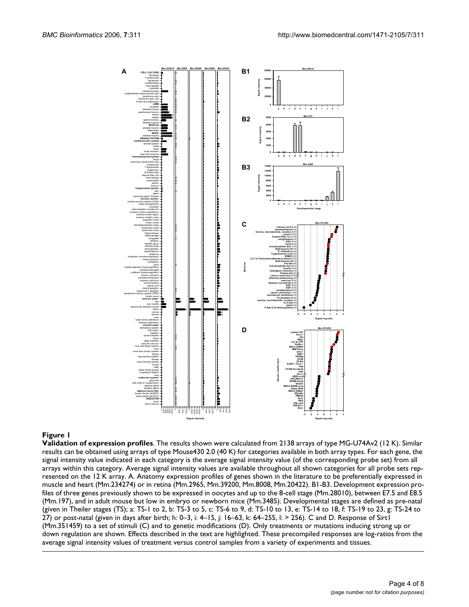

#### **Figure 1**

**Validation of expression profiles**. The results shown were calculated from 2138 arrays of type MG-U74Av2 (12 K). Similar results can be obtained using arrays of type Mouse430 2.0 (40 K) for categories available in both array types. For each gene, the signal intensity value indicated in each category is the average signal intensity value (of the corresponding probe set) from all arrays within this category. Average signal intensity values are available throughout all shown categories for all probe sets represented on the 12 K array. A. Anatomy expression profiles of genes shown in the literature to be preferentially expressed in muscle and heart (Mm.234274) or in retina (Mm.2965, Mm.39200, Mm.8008, Mm.20422). B1-B3. Development expression profiles of three genes previously shown to be expressed in oocytes and up to the 8-cell stage (Mm.28010), between E7.5 and E8.5 (Mm.197), and in adult mouse but low in embryo or newborn mice (Mm.3485). Developmental stages are defined as pre-natal (given in Theiler stages (TS); a: TS-1 to 2, b: TS-3 to 5, c: TS-6 to 9, d: TS-10 to 13, e: TS-14 to 18, f: TS-19 to 23, g: TS-24 to 27) or post-natal (given in days after birth; h: 0–3, i: 4–15, j: 16–63, k: 64–255, l: > 256). C and D. Response of Sirt1 (Mm.351459) to a set of stimuli (C) and to genetic modifications (D). Only treatments or mutations inducing strong up or down regulation are shown. Effects described in the text are highlighted. These precompiled responses are log-ratios from the average signal intensity values of treatment versus control samples from a variety of experiments and tissues.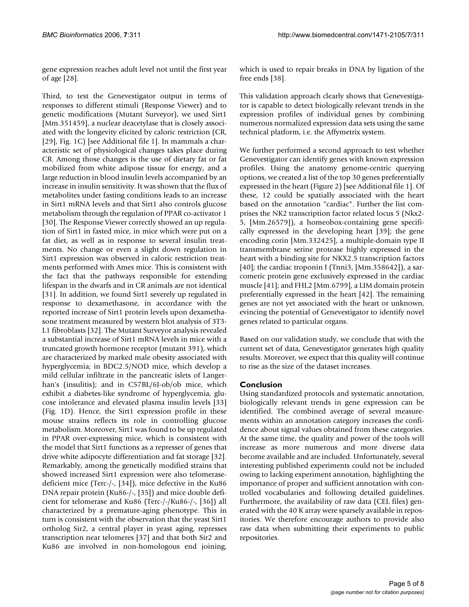gene expression reaches adult level not until the first year of age [28].

Third, to test the Genevestigator output in terms of responses to different stimuli (Response Viewer) and to genetic modifications (Mutant Surveyor), we used Sirt1 [Mm.351459], a nuclear deacetylase that is closely associated with the longevity elicited by caloric restriction (CR, [29], Fig. 1C) [see Additional file 1]. In mammals a characteristic set of physiological changes takes place during CR. Among those changes is the use of dietary fat or fat mobilized from white adipose tissue for energy, and a large reduction in blood insulin levels accompanied by an increase in insulin sensitivity. It was shown that the flux of metabolites under fasting conditions leads to an increase in Sirt1 mRNA levels and that Sirt1 also controls glucose metabolism through the regulation of PPAR co-activator 1 [30]. The Response Viewer correctly showed an up regulation of Sirt1 in fasted mice, in mice which were put on a fat diet, as well as in response to several insulin treatments. No change or even a slight down regulation in Sirt1 expression was observed in caloric restriction treatments performed with Ames mice. This is consistent with the fact that the pathways responsible for extending lifespan in the dwarfs and in CR animals are not identical [31]. In addition, we found Sirt1 severely up regulated in response to dexamethasone, in accordance with the reported increase of Sirt1 protein levels upon dexamethasone treatment measured by western blot analysis of 3T3- L1 fibroblasts [32]. The Mutant Surveyor analysis revealed a substantial increase of Sirt1 mRNA levels in mice with a truncated growth hormone receptor (mutant 391), which are characterized by marked male obesity associated with hyperglycemia; in BDC2.5/NOD mice, which develop a mild cellular infiltrate in the pancreatic islets of Langerhan's (insulitis); and in C57BL/6J-ob/ob mice, which exhibit a diabetes-like syndrome of hyperglycemia, glucose intolerance and elevated plasma insulin levels [33] (Fig. 1D). Hence, the Sirt1 expression profile in these mouse strains reflects its role in controlling glucose metabolism. Moreover, Sirt1 was found to be up regulated in PPAR over-expressing mice, which is consistent with the model that Sirt1 functions as a represser of genes that drive white adipocyte differentiation and fat storage [32]. Remarkably, among the genetically modified strains that showed increased Sirt1 expression were also telomerasedeficient mice (Terc-/-, [34]), mice defective in the Ku86 DNA repair protein (Ku86-/-, [35]) and mice double deficient for telomerase and Ku86 (Terc-/-/Ku86-/-, [36]) all characterized by a premature-aging phenotype. This in turn is consistent with the observation that the yeast Sirt1 ortholog Sir2, a central player in yeast aging, represses transcription near telomeres [37] and that both Sir2 and Ku86 are involved in non-homologous end joining,

which is used to repair breaks in DNA by ligation of the free ends [38].

This validation approach clearly shows that Genevestigator is capable to detect biologically relevant trends in the expression profiles of individual genes by combining numerous normalized expression data sets using the same technical platform, i.e. the Affymetrix system.

We further performed a second approach to test whether Genevestigator can identify genes with known expression profiles. Using the anatomy genome-centric querying options, we created a list of the top 30 genes preferentially expressed in the heart (Figure 2) [see Additional file 1]. Of these, 12 could be spatially associated with the heart based on the annotation "cardiac". Further the list comprises the NK2 transcription factor related locus 5 (Nkx2- 5, [Mm.26579]), a homeobox-containing gene specifically expressed in the developing heart [39]; the gene encoding corin [Mm.332425], a multiple-domain type II transmembrane serine protease highly expressed in the heart with a binding site for NKX2.5 transcription factors [40]; the cardiac troponin I (Tnni3, [Mm.358642]), a sarcomeric protein gene exclusively expressed in the cardiac muscle [41]; and FHL2 [Mm.6799], a LIM domain protein preferentially expressed in the heart [42]. The remaining genes are not yet associated with the heart or unknown, evincing the potential of Genevestigator to identify novel genes related to particular organs.

Based on our validation study, we conclude that with the current set of data, Genevestigator generates high quality results. Moreover, we expect that this quality will continue to rise as the size of the dataset increases.

# **Conclusion**

Using standardized protocols and systematic annotation, biologically relevant trends in gene expression can be identified. The combined average of several measurements within an annotation category increases the confidence about signal values obtained from these categories. At the same time, the quality and power of the tools will increase as more numerous and more diverse data become available and are included. Unfortunately, several interesting published experiments could not be included owing to lacking experiment annotation, highlighting the importance of proper and sufficient annotation with controlled vocabularies and following detailed guidelines. Furthermore, the availability of raw data (CEL files) generated with the 40 K array were sparsely available in repositories. We therefore encourage authors to provide also raw data when submitting their experiments to public repositories.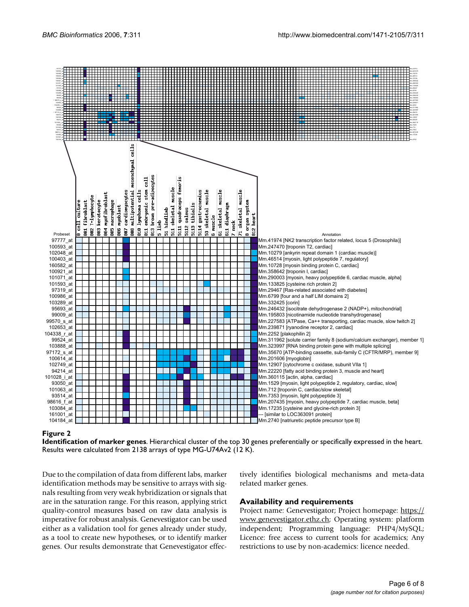

# **Figure 2**

**Identification of marker genes**. Hierarchical cluster of the top 30 genes preferentially or specifically expressed in the heart. Results were calculated from 2138 arrays of type MG-U74Av2 (12 K).

Due to the compilation of data from different labs, marker identification methods may be sensitive to arrays with signals resulting from very weak hybridization or signals that are in the saturation range. For this reason, applying strict quality-control measures based on raw data analysis is imperative for robust analysis. Genevestigator can be used either as a validation tool for genes already under study, as a tool to create new hypotheses, or to identify marker genes. Our results demonstrate that Genevestigator effectively identifies biological mechanisms and meta-data related marker genes.

# **Availability and requirements**

Project name: Genevestigator; Project homepage: [https://](https://www.genevestigator.ethz.ch) [www.genevestigator.ethz.ch;](https://www.genevestigator.ethz.ch) Operating system: platform independent; Programming language: PHP4/MySQL; Licence: free access to current tools for academics; Any restrictions to use by non-academics: licence needed.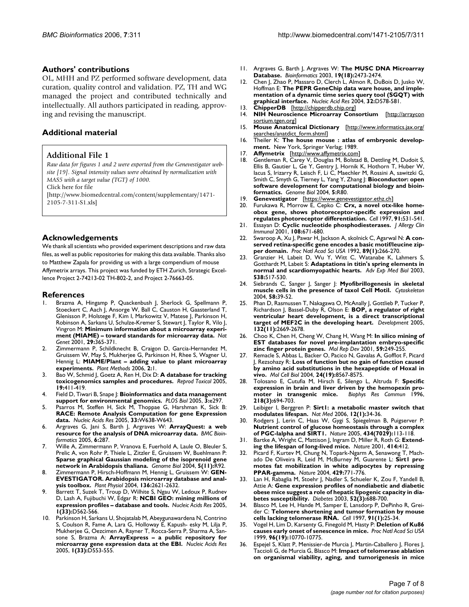#### **Authors' contributions**

OL, MHH and PZ performed software development, data curation, quality control and validation. PZ, TH and WG managed the project and contributed technically and intellectually. All authors participated in reading, approving and revising the manuscript.

#### **Additional material**

#### **Additional File 1**

*Raw data for figures 1 and 2 were exported from the Genevestigator website [19]. Signal intensity values were obtained by normalization with MAS5 with a target value (TGT) of 1000.*

Click here for file

[\[http://www.biomedcentral.com/content/supplementary/1471-](http://www.biomedcentral.com/content/supplementary/1471-2105-7-311-S1.xls) 2105-7-311-S1.xls]

#### **Acknowledgements**

We thank all scientists who provided experiment descriptions and raw data files, as well as public repositories for making this data available. Thanks also to Matthew Zapala for providing us with a large compendium of mouse Affymetrix arrays. This project was funded by ETH Zurich, Strategic Excellence Project 2-74213-02 TH-802-2, and Project 2-76663-05.

#### **References**

- 1. Brazma A, Hingamp P, Quackenbush J, Sherlock G, Spellmann P, Stoeckert C, Aach J, Ansorge W, Ball C, Causton H, Gaasterland T, Glenisson P, Holstege F, Kim I, Markowitz V, Matese J, Parkinson H, Robinson A, Sarkans U, Schulze-Kremer S, Stewart J, Taylor R, Vilo J, Vingron M: **[Minimum information about a microarray experi](http://www.ncbi.nlm.nih.gov/entrez/query.fcgi?cmd=Retrieve&db=PubMed&dopt=Abstract&list_uids=11726920)[ment \(MIAME\) – toward standards for microarray data.](http://www.ncbi.nlm.nih.gov/entrez/query.fcgi?cmd=Retrieve&db=PubMed&dopt=Abstract&list_uids=11726920)** *Nat Genet* 2001, **29:**365-371.
- 2. Zimmermann P, Schildknecht B, Craigon D, Garcia-Hernandez M, Gruissem W, May S, Mukherjee G, Parkinson H, Rhee S, Wagner U, Hennig L: **[MIAME/Plant – adding value to plant microarray](http://www.ncbi.nlm.nih.gov/entrez/query.fcgi?cmd=Retrieve&db=PubMed&dopt=Abstract&list_uids=16401339) [experiments.](http://www.ncbi.nlm.nih.gov/entrez/query.fcgi?cmd=Retrieve&db=PubMed&dopt=Abstract&list_uids=16401339)** *Plant Methods* 2006, **2:**1.
- 3. Bao W, Schmid J, Goetz A, Ren H, Dix D: **[A database for tracking](http://www.ncbi.nlm.nih.gov/entrez/query.fcgi?cmd=Retrieve&db=PubMed&dopt=Abstract&list_uids=15686874) [toxicogenomics samples and procedures.](http://www.ncbi.nlm.nih.gov/entrez/query.fcgi?cmd=Retrieve&db=PubMed&dopt=Abstract&list_uids=15686874)** *Reprod Toxicol* 2005, **19:**411-419.
- 4. Field D, Tiwari B, Snape |: **[Bioinformatics and data management](http://www.ncbi.nlm.nih.gov/entrez/query.fcgi?cmd=Retrieve&db=PubMed&dopt=Abstract&list_uids=16089508) [support for environmental genomics.](http://www.ncbi.nlm.nih.gov/entrez/query.fcgi?cmd=Retrieve&db=PubMed&dopt=Abstract&list_uids=16089508)** *PLOS Biol* 2005, **3:**e297.
- 5. Psarros M, Steffen H, Sick M, Thoppae G, Harshman K, Sick B: **[RACE: Remote Analysis Computation for gene Expression](http://www.ncbi.nlm.nih.gov/entrez/query.fcgi?cmd=Retrieve&db=PubMed&dopt=Abstract&list_uids=15980552) [data.](http://www.ncbi.nlm.nih.gov/entrez/query.fcgi?cmd=Retrieve&db=PubMed&dopt=Abstract&list_uids=15980552)** *Nucleic Acids Res* 2005, **33:**W638-W643.
- 6. Argraves G, Jani S, Barth J, Argraves W: **[ArrayQuest: a web](http://www.ncbi.nlm.nih.gov/entrez/query.fcgi?cmd=Retrieve&db=PubMed&dopt=Abstract&list_uids=16321157) [resource for the analysis of DNA microarray data.](http://www.ncbi.nlm.nih.gov/entrez/query.fcgi?cmd=Retrieve&db=PubMed&dopt=Abstract&list_uids=16321157)** *BMC Bioinformatics* 2005, **6:**287.
- 7. Wille A, Zimmermann P, Vranova E, Fuerhold A, Laule O, Bleuler S, Prelic A, von Rohr P, Thiele L, Zitzler E, Gruissem W, Buehlmann P: **[Sparse graphical Gaussian modeling of the isoprenoid gene](http://www.ncbi.nlm.nih.gov/entrez/query.fcgi?cmd=Retrieve&db=PubMed&dopt=Abstract&list_uids=15535868) [network in Arabidopsis thaliana.](http://www.ncbi.nlm.nih.gov/entrez/query.fcgi?cmd=Retrieve&db=PubMed&dopt=Abstract&list_uids=15535868)** *Genome Biol* 2004, **5(11):**R92.
- 8. Zimmermann P, Hirsch-Hoffmann M, Hennig L, Gruissem W: **[GEN-](http://www.ncbi.nlm.nih.gov/entrez/query.fcgi?cmd=Retrieve&db=PubMed&dopt=Abstract&list_uids=15375207)[EVESTIGATOR. Arabidopsis microarray database and anal](http://www.ncbi.nlm.nih.gov/entrez/query.fcgi?cmd=Retrieve&db=PubMed&dopt=Abstract&list_uids=15375207)[ysis toolbox.](http://www.ncbi.nlm.nih.gov/entrez/query.fcgi?cmd=Retrieve&db=PubMed&dopt=Abstract&list_uids=15375207)** *Plant Physiol* 2004, **136:**2621-2632.
- 9. Barrett T, Suzek T, Troup D, Wilhite S, Ngau W, Ledoux P, Rudnev D, Lash A, Fujibuchi W, Edgar R: **NCBI GEO: mining millions of expression profiles – database and tools.** *Nucleic Acids Res* 2005, **1(33):**D562-566.
- 10. Parkinson H, Sarkans U, Shojatalab M, Abeygunawardena N, Contrino S, Coulson R, Fame A, Lara G, Holloway E, Kapush- esky M, Lilja P, Mukherjee G, Oezcimen A, Rayner T, Rocca-Serra P, Sharma A, Sansone S, Brazma A: **ArrayExpress – a public repository for microarray gene expression data at the EBI.** *Nucleic Acids Res* 2005, **1(33):**D553-555.
- 11. Argraves G, Barth J, Argraves W: **[The MUSC DNA Microarray](http://www.ncbi.nlm.nih.gov/entrez/query.fcgi?cmd=Retrieve&db=PubMed&dopt=Abstract&list_uids=14668234) [Database.](http://www.ncbi.nlm.nih.gov/entrez/query.fcgi?cmd=Retrieve&db=PubMed&dopt=Abstract&list_uids=14668234)** *Bioinformatics* 2003, **19(18):**2473-2474.
- 12. Chen J, Zhao P, Massaro D, Clerch L, Almon R, DuBois D, Jusko W, Hoffman E: **[The PEPR GeneChip data ware house, and imple](http://www.ncbi.nlm.nih.gov/entrez/query.fcgi?cmd=Retrieve&db=PubMed&dopt=Abstract&list_uids=14681485)[mentation of a dynamic time series query tool \(SGQT\) with](http://www.ncbi.nlm.nih.gov/entrez/query.fcgi?cmd=Retrieve&db=PubMed&dopt=Abstract&list_uids=14681485) [graphical interface.](http://www.ncbi.nlm.nih.gov/entrez/query.fcgi?cmd=Retrieve&db=PubMed&dopt=Abstract&list_uids=14681485)** *Nucleic Acid Res* 2004, **32:**D578-581.
- 13. **ChipperDB** [<http://chipperdb.chip.org>]
- 14. **NIH Neuroscience Microarray Consortium** [[http://arraycon](http://arrayconsortium.tgen.org) [sortium.tgen.org\]](http://arrayconsortium.tgen.org)
- 15. **Mouse Anatomical Dictionary** [[http://www.informatics.jax.org/](http://www.informatics.jax.org/searches/anatdict_form.shtml) [searches/anatdict\\_form.shtml\]](http://www.informatics.jax.org/searches/anatdict_form.shtml)
- 16. Theiler K: **The house mouse : atlas of embryonic development.** New York, Springer Verlag; 1989.
- 17. **Affymetrix** [\[http://www.affymetrix.com\]](http://www.affymetrix.com)
- 18. Gentleman R, Carey V, Douglas M, Bolstad B, Dettling M, Dudoit S, Ellis B, Gautier L, Ge Y, Gentry J, Hornik K, Hothorn T, Huber W, Iacus S, Irizarry R, Leisch F, Li C, Maechler M, Rossini A, sawitzki G, Smith C, Smyth G, Tierney L, Yang Y, Zhang J: **[Bioconductor: open](http://www.ncbi.nlm.nih.gov/entrez/query.fcgi?cmd=Retrieve&db=PubMed&dopt=Abstract&list_uids=15461798) [software development for computational biology and bioin](http://www.ncbi.nlm.nih.gov/entrez/query.fcgi?cmd=Retrieve&db=PubMed&dopt=Abstract&list_uids=15461798)[formatics.](http://www.ncbi.nlm.nih.gov/entrez/query.fcgi?cmd=Retrieve&db=PubMed&dopt=Abstract&list_uids=15461798)** *Genome Biol* 2004, **5:**R80.
- 19. **Genevestigator** [<https://www.genevestigator.ethz.ch>]<br>20. Furukawa R. Morrow E. Cepko C: Crx. a novel otx-
- Furukawa R, Morrow E, Cepko C: [Crx, a novel otx-like home](http://www.ncbi.nlm.nih.gov/entrez/query.fcgi?cmd=Retrieve&db=PubMed&dopt=Abstract&list_uids=9390562)**[obox gene, shows photoreceptor-speciflc expression and](http://www.ncbi.nlm.nih.gov/entrez/query.fcgi?cmd=Retrieve&db=PubMed&dopt=Abstract&list_uids=9390562) [regulates photoreceptor differentiation.](http://www.ncbi.nlm.nih.gov/entrez/query.fcgi?cmd=Retrieve&db=PubMed&dopt=Abstract&list_uids=9390562)** *Cell* 1997, **91:**531-541.
- 21. Essayan D: **[Cyclic nucleotide phosphodiesterases.](http://www.ncbi.nlm.nih.gov/entrez/query.fcgi?cmd=Retrieve&db=PubMed&dopt=Abstract&list_uids=11692087)** *J Allergy Clin Immunol* 2001, **108:**671-680.
- 22. Swaroop A, Xu J, Pawar H, Jackson A, skolnick C, Agarwal N: **[A con](http://www.ncbi.nlm.nih.gov/entrez/query.fcgi?cmd=Retrieve&db=PubMed&dopt=Abstract&list_uids=1729696)[served retina-specific gene encodes a basic motif/leucine zip](http://www.ncbi.nlm.nih.gov/entrez/query.fcgi?cmd=Retrieve&db=PubMed&dopt=Abstract&list_uids=1729696)[per domain.](http://www.ncbi.nlm.nih.gov/entrez/query.fcgi?cmd=Retrieve&db=PubMed&dopt=Abstract&list_uids=1729696)** *Proc Natl Acad Sci USA* 1992, **89(1):**266-270.
- 23. Granzier H, Labeit D, Wu Y, Witt C, Watanabe K, Lahmers S, Gotthardt M, Labeit S: **[Adaptations in titin's spring elements in](http://www.ncbi.nlm.nih.gov/entrez/query.fcgi?cmd=Retrieve&db=PubMed&dopt=Abstract&list_uids=15098695) [normal and scardiomyopathic hearts.](http://www.ncbi.nlm.nih.gov/entrez/query.fcgi?cmd=Retrieve&db=PubMed&dopt=Abstract&list_uids=15098695)** *Adv Exp Med Biol* 2003, **538:**517-530.
- 24. Siebrands C, Sanger J, Sanger J: **Myofibrillogenesis in skeletal muscle cells in the presence of taxol Cell Motil.** *Cytoskeleton* 2004, **58:**39-52.
- 25. Phan D, Rasmussen T, Nakagawa O, McAnally J, Gottlieb P, Tucker P, Richardson J, Bassel-Duby R, Olson E: **[BOP, a regulator of right](http://www.ncbi.nlm.nih.gov/entrez/query.fcgi?cmd=Retrieve&db=PubMed&dopt=Abstract&list_uids=15890826) [ventricular heart development, is a direct transcriptional](http://www.ncbi.nlm.nih.gov/entrez/query.fcgi?cmd=Retrieve&db=PubMed&dopt=Abstract&list_uids=15890826) [target of MEF2C in the developing heart.](http://www.ncbi.nlm.nih.gov/entrez/query.fcgi?cmd=Retrieve&db=PubMed&dopt=Abstract&list_uids=15890826)** *Development* 2005, **132(11):**2669-2678.
- 26. Choo K, Chen H, Cheng W, Chang H, Wang M: **In silico mining of EST databases for novel pre-implantation embryo-specific zinc finger protein genes.** *Mol Rep Dev* 2001, **59:**249-255.
- 27. Remacle S, Abbas L, Backer O, Pacico N, Gavalas A, Gofflot F, Picard J, Rezsohazy R: **[Loss of function but no gain of function caused](http://www.ncbi.nlm.nih.gov/entrez/query.fcgi?cmd=Retrieve&db=PubMed&dopt=Abstract&list_uids=15367676) [by amino acid substitutions in the hexapeptide of Hoxal in](http://www.ncbi.nlm.nih.gov/entrez/query.fcgi?cmd=Retrieve&db=PubMed&dopt=Abstract&list_uids=15367676) [vivo.](http://www.ncbi.nlm.nih.gov/entrez/query.fcgi?cmd=Retrieve&db=PubMed&dopt=Abstract&list_uids=15367676)** *Mol Cell Biol* 2004, **24(19):**8567-8575.
- 28. Tolosano E, Cutufia M, Hirsch E, Silengo L, Altruda F: **Specific expression in brain and liver driven by the hemopexin promoter in transgenic mice.** *Biophys Res Commun* 1996, **218(3):**694-703.
- 29. Leibiger I, Berggren P: **[Sirt1: a metabolic master switch that](http://www.ncbi.nlm.nih.gov/entrez/query.fcgi?cmd=Retrieve&db=PubMed&dopt=Abstract&list_uids=16397557) [modulates lifespan.](http://www.ncbi.nlm.nih.gov/entrez/query.fcgi?cmd=Retrieve&db=PubMed&dopt=Abstract&list_uids=16397557)** *Nat Med* 2006, **12(1):**34-36.
- 30. Rodgers J, Lerin C, Haas W, Gygi S, Spiegelman B, Puigserver P: **[Nutrient control of glucose homeostasis through a complex](http://www.ncbi.nlm.nih.gov/entrez/query.fcgi?cmd=Retrieve&db=PubMed&dopt=Abstract&list_uids=15744310) [of PGC-lalpha and SIRT1.](http://www.ncbi.nlm.nih.gov/entrez/query.fcgi?cmd=Retrieve&db=PubMed&dopt=Abstract&list_uids=15744310)** *Nature* 2005, **434(7029):**113-118.
- 31. Bartke A, Wright C, Mattison J, Ingram D, Miller R, Roth G: **[Extend](http://www.ncbi.nlm.nih.gov/entrez/query.fcgi?cmd=Retrieve&db=PubMed&dopt=Abstract&list_uids=11719795)[ing the lifespan of long-lived mice.](http://www.ncbi.nlm.nih.gov/entrez/query.fcgi?cmd=Retrieve&db=PubMed&dopt=Abstract&list_uids=11719795)** *Nature* 2001, **414:**412.
- 32. Picard F, Kurtev M, Chung N, Topark-Ngarm A, Senawong T, Machado De Oliveira R, Leid M, McBurney M, Guarente L: **[Sirt1 pro](http://www.ncbi.nlm.nih.gov/entrez/query.fcgi?cmd=Retrieve&db=PubMed&dopt=Abstract&list_uids=15175761)[motes fat mobilization in white adipocytes by repressing](http://www.ncbi.nlm.nih.gov/entrez/query.fcgi?cmd=Retrieve&db=PubMed&dopt=Abstract&list_uids=15175761) [PPAR-gamma.](http://www.ncbi.nlm.nih.gov/entrez/query.fcgi?cmd=Retrieve&db=PubMed&dopt=Abstract&list_uids=15175761)** *Nature* 2004, **429:**771-776.
- 33. Lan H, Rabaglia M, Stoehr J, Nadler S, Schueler K, Zou F, Yandell B, Attie A: **[Gene expression profiles of nondiabetic and diabetic](http://www.ncbi.nlm.nih.gov/entrez/query.fcgi?cmd=Retrieve&db=PubMed&dopt=Abstract&list_uids=12606510) [obese mice suggest a role of hepatic lipogenic capacity in dia](http://www.ncbi.nlm.nih.gov/entrez/query.fcgi?cmd=Retrieve&db=PubMed&dopt=Abstract&list_uids=12606510)[betes susceptibility.](http://www.ncbi.nlm.nih.gov/entrez/query.fcgi?cmd=Retrieve&db=PubMed&dopt=Abstract&list_uids=12606510)** *Diabetes* 2003, **52(3):**688-700.
- Blasco M, Lee H, Hande M, Samper E, Lansdorp P, DePinho R, Greider C: **[Telomere shortening and tumor formation by mouse](http://www.ncbi.nlm.nih.gov/entrez/query.fcgi?cmd=Retrieve&db=PubMed&dopt=Abstract&list_uids=9335332) [cells lacking telomerase RNA.](http://www.ncbi.nlm.nih.gov/entrez/query.fcgi?cmd=Retrieve&db=PubMed&dopt=Abstract&list_uids=9335332)** *Cell* 1997, **91(1):**25-34.
- 35. Vogel H, Lim D, Karsenty G, Finegold M, Hasty P: **[Deletion of Ku86](http://www.ncbi.nlm.nih.gov/entrez/query.fcgi?cmd=Retrieve&db=PubMed&dopt=Abstract&list_uids=10485901) [causes early onset of senescence in mice.](http://www.ncbi.nlm.nih.gov/entrez/query.fcgi?cmd=Retrieve&db=PubMed&dopt=Abstract&list_uids=10485901)** *Proc Natl Acad Sci USA* 1999, **96(19):**10770-10775.
- 36. Espejel S, Klatt P, Menissier-de Murcia J, Martin-Caballero J, Flores J, Taccioli G, de Murcia G, Blasco M: **[Impact of telomerase ablation](http://www.ncbi.nlm.nih.gov/entrez/query.fcgi?cmd=Retrieve&db=PubMed&dopt=Abstract&list_uids=15545322) [on organismal viability, aging, and tumorigenesis in mice](http://www.ncbi.nlm.nih.gov/entrez/query.fcgi?cmd=Retrieve&db=PubMed&dopt=Abstract&list_uids=15545322)**